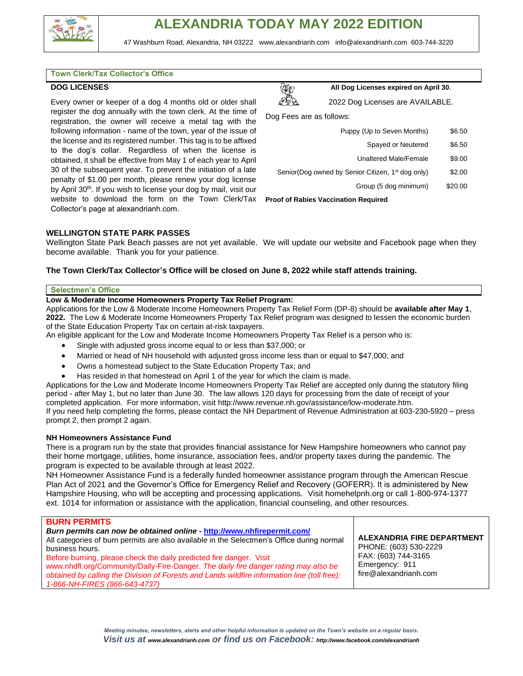

#### **Town Clerk/Tax Collector's Office**

### **DOG LICENSES**

Every owner or keeper of a dog 4 months old or older shall register the dog annually with the town clerk. At the time of registration, the owner will receive a metal tag with the following information - name of the town, year of the issue of the license and its registered number. This tag is to be affixed to the dog's collar. Regardless of when the license is obtained, it shall be effective from May 1 of each year to April 30 of the subsequent year. To prevent the initiation of a late penalty of \$1.00 per month, please renew your dog license by April 30<sup>th</sup>. If you wish to license your dog by mail, visit our website to download the form on the Town Clerk/Tax **Proof of Rabies Vaccination Required** Collector's page at alexandrianh.com.



**All Dog Licenses expired on April 30**.

2022 Dog Licenses are AVAILABLE.

Dog Fees are as follows:

| Puppy (Up to Seven Months)                                    | \$6.50  |  |  |  |
|---------------------------------------------------------------|---------|--|--|--|
| Spayed or Neutered                                            | \$6.50  |  |  |  |
| <b>Unaltered Male/Female</b>                                  | \$9.00  |  |  |  |
| Senior(Dog owned by Senior Citizen, 1 <sup>st</sup> dog only) | \$2.00  |  |  |  |
| Group (5 dog minimum)                                         | \$20.00 |  |  |  |
| oof of Pobjec Voogingtion Poquired                            |         |  |  |  |

### **WELLINGTON STATE PARK PASSES**

Wellington State Park Beach passes are not yet available. We will update our website and Facebook page when they become available. Thank you for your patience.

## **The Town Clerk/Tax Collector's Office will be closed on June 8, 2022 while staff attends training.**

#### **Selectmen's Office**

### **Low & Moderate Income Homeowners Property Tax Relief Program:**

Applications for the Low & Moderate Income Homeowners Property Tax Relief Form (DP-8) should be **available after May 1**, **2022.** The Low & Moderate Income Homeowners Property Tax Relief program was designed to lessen the economic burden of the State Education Property Tax on certain at-risk taxpayers.

An eligible applicant for the Low and Moderate Income Homeowners Property Tax Relief is a person who is:

- Single with adjusted gross income equal to or less than \$37,000; or
- Married or head of NH household with adjusted gross income less than or equal to \$47,000; and
- Owns a homestead subject to the State Education Property Tax; and
- Has resided in that homestead on April 1 of the year for which the claim is made.

Applications for the Low and Moderate Income Homeowners Property Tax Relief are accepted only during the statutory filing period - after May 1, but no later than June 30. The law allows 120 days for processing from the date of receipt of your completed application. For more information, visit [http://www.revenue.nh.gov/assistance/low-moderate.htm.](http://www.revenue.nh.gov/assistance/low-moderate.htm) If you need help completing the forms, please contact the NH Department of Revenue Administration at 603-230-5920 – press

prompt 2, then prompt 2 again.

### **NH Homeowners Assistance Fund**

There is a program run by the state that provides financial assistance for New Hampshire homeowners who cannot pay their home mortgage, utilities, home insurance, association fees, and/or property taxes during the pandemic. The program is expected to be available through at least 2022.

NH Homeowner Assistance Fund is a federally funded homeowner assistance program through the American Rescue Plan Act of 2021 and the Governor's Office for Emergency Relief and Recovery (GOFERR). It is administered by New Hampshire Housing, who will be accepting and processing applications. Visit homehelpnh.org or call 1-800-974-1377 ext. 1014 for information or assistance with the application, financial counseling, and other resources.

## **BURN PERMITS**

| Burn permits can now be obtained online - http://www.nhfirepermit.com/<br>All categories of burn permits are also available in the Selectmen's Office during normal<br>business hours.<br>Before burning, please check the daily predicted fire danger. Visit<br>www.nhdfl.org/Community/Daily-Fire-Danger. The daily fire danger rating may also be<br>obtained by calling the Division of Forests and Lands wildfire information line (toll free):<br>1-866-NH-FIRES (866-643-4737) | <b>ALEXANDRIA FIRE DEPARTMENT</b><br>PHONE: (603) 530-2229<br>FAX: (603) 744-3165<br>Emergency: 911<br>fire@alexandrianh.com |
|---------------------------------------------------------------------------------------------------------------------------------------------------------------------------------------------------------------------------------------------------------------------------------------------------------------------------------------------------------------------------------------------------------------------------------------------------------------------------------------|------------------------------------------------------------------------------------------------------------------------------|
|                                                                                                                                                                                                                                                                                                                                                                                                                                                                                       |                                                                                                                              |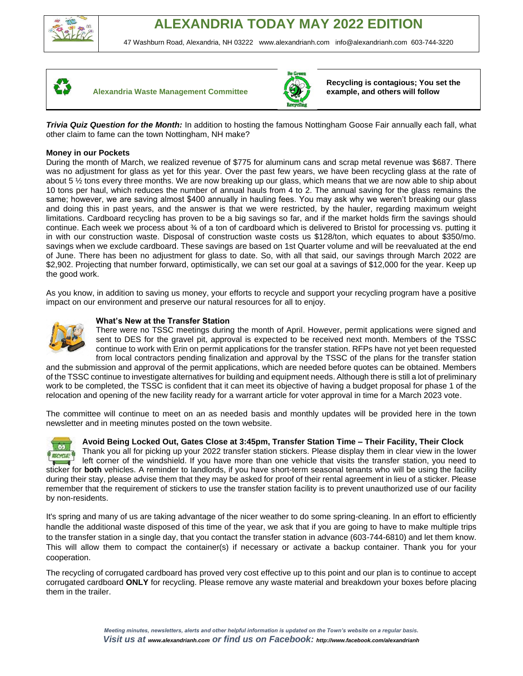







**Recycling is contagious; You set the example, and others will follow**

*Trivia Quiz Question for the Month:* In addition to hosting the famous Nottingham Goose Fair annually each fall, what other claim to fame can the town Nottingham, NH make?

# **Money in our Pockets**

During the month of March, we realized revenue of \$775 for aluminum cans and scrap metal revenue was \$687. There was no adjustment for glass as yet for this year. Over the past few years, we have been recycling glass at the rate of about 5 ½ tons every three months. We are now breaking up our glass, which means that we are now able to ship about 10 tons per haul, which reduces the number of annual hauls from 4 to 2. The annual saving for the glass remains the same; however, we are saving almost \$400 annually in hauling fees. You may ask why we weren't breaking our glass and doing this in past years, and the answer is that we were restricted, by the hauler, regarding maximum weight limitations. Cardboard recycling has proven to be a big savings so far, and if the market holds firm the savings should continue. Each week we process about ¾ of a ton of cardboard which is delivered to Bristol for processing vs. putting it in with our construction waste. Disposal of construction waste costs us \$128/ton, which equates to about \$350/mo. savings when we exclude cardboard. These savings are based on 1st Quarter volume and will be reevaluated at the end of June. There has been no adjustment for glass to date. So, with all that said, our savings through March 2022 are \$2,902. Projecting that number forward, optimistically, we can set our goal at a savings of \$12,000 for the year. Keep up the good work.

As you know, in addition to saving us money, your efforts to recycle and support your recycling program have a positive impact on our environment and preserve our natural resources for all to enjoy.



# **What's New at the Transfer Station**

There were no TSSC meetings during the month of April. However, permit applications were signed and sent to DES for the gravel pit, approval is expected to be received next month. Members of the TSSC continue to work with Erin on permit applications for the transfer station. RFPs have not yet been requested from local contractors pending finalization and approval by the TSSC of the plans for the transfer station

and the submission and approval of the permit applications, which are needed before quotes can be obtained. Members of the TSSC continue to investigate alternatives for building and equipment needs. Although there is still a lot of preliminary work to be completed, the TSSC is confident that it can meet its objective of having a budget proposal for phase 1 of the relocation and opening of the new facility ready for a warrant article for voter approval in time for a March 2023 vote.

The committee will continue to meet on an as needed basis and monthly updates will be provided here in the town newsletter and in meeting minutes posted on the town website.



# **Avoid Being Locked Out, Gates Close at 3:45pm, Transfer Station Time – Their Facility, Their Clock**

Thank you all for picking up your 2022 transfer station stickers. Please display them in clear view in the lower left corner of the windshield. If you have more than one vehicle that visits the transfer station, you need to sticker for **both** vehicles. A reminder to landlords, if you have short-term seasonal tenants who will be using the facility during their stay, please advise them that they may be asked for proof of their rental agreement in lieu of a sticker. Please remember that the requirement of stickers to use the transfer station facility is to prevent unauthorized use of our facility by non-residents.

It's spring and many of us are taking advantage of the nicer weather to do some spring-cleaning. In an effort to efficiently handle the additional waste disposed of this time of the year, we ask that if you are going to have to make multiple trips to the transfer station in a single day, that you contact the transfer station in advance (603-744-6810) and let them know. This will allow them to compact the container(s) if necessary or activate a backup container. Thank you for your cooperation.

The recycling of corrugated cardboard has proved very cost effective up to this point and our plan is to continue to accept corrugated cardboard **ONLY** for recycling. Please remove any waste material and breakdown your boxes before placing them in the trailer.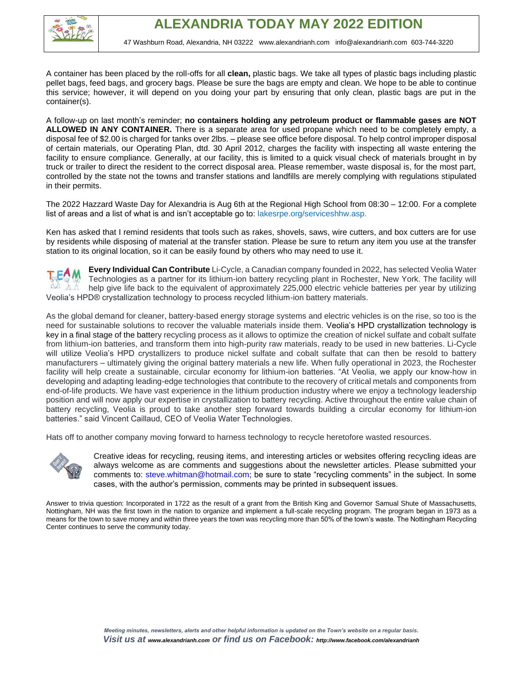

A container has been placed by the roll-offs for all **clean,** plastic bags. We take all types of plastic bags including plastic pellet bags, feed bags, and grocery bags. Please be sure the bags are empty and clean. We hope to be able to continue this service; however, it will depend on you doing your part by ensuring that only clean, plastic bags are put in the container(s).

A follow-up on last month's reminder; **no containers holding any petroleum product or flammable gases are NOT ALLOWED IN ANY CONTAINER.** There is a separate area for used propane which need to be completely empty, a disposal fee of \$2.00 is charged for tanks over 2lbs. – please see office before disposal. To help control improper disposal of certain materials, our Operating Plan, dtd. 30 April 2012, charges the facility with inspecting all waste entering the facility to ensure compliance. Generally, at our facility, this is limited to a quick visual check of materials brought in by truck or trailer to direct the resident to the correct disposal area. Please remember, waste disposal is, for the most part, controlled by the state not the towns and transfer stations and landfills are merely complying with regulations stipulated in their permits.

The 2022 Hazzard Waste Day for Alexandria is Aug 6th at the Regional High School from 08:30 – 12:00. For a complete list of areas and a list of what is and isn't acceptable go to: lakesrpe.org/serviceshhw.asp.

Ken has asked that I remind residents that tools such as rakes, shovels, saws, wire cutters, and box cutters are for use by residents while disposing of material at the transfer station. Please be sure to return any item you use at the transfer station to its original location, so it can be easily found by others who may need to use it.

**Every Individual Can Contribute** Li-Cycle, a Canadian company founded in 2022, has selected Veolia Water Technologies as a partner for its lithium-ion battery recycling plant in Rochester, New York. The facility will help give life back to the equivalent of approximately 225,000 electric vehicle batteries per year by utilizing Veolia's HPD® crystallization technology to process recycled lithium-ion battery materials.

As the global demand for cleaner, battery-based energy storage systems and electric vehicles is on the rise, so too is the need for sustainable solutions to recover the valuable materials inside them. Veolia's HPD crystallization technology is key in a final stage of the battery recycling process as it allows to optimize the creation of nickel sulfate and cobalt sulfate from lithium-ion batteries, and transform them into high-purity raw materials, ready to be used in new batteries. Li-Cycle will utilize Veolia's HPD crystallizers to produce nickel sulfate and cobalt sulfate that can then be resold to battery manufacturers – ultimately giving the original battery materials a new life. When fully operational in 2023, the Rochester facility will help create a sustainable, circular economy for lithium-ion batteries. "At Veolia, we apply our know-how in developing and adapting leading-edge technologies that contribute to the recovery of critical metals and components from end-of-life products. We have vast experience in the lithium production industry where we enjoy a technology leadership position and will now apply our expertise in crystallization to battery recycling. Active throughout the entire value chain of battery recycling, Veolia is proud to take another step forward towards building a circular economy for lithium-ion batteries." said Vincent Caillaud, CEO of Veolia Water Technologies.

Hats off to another company moving forward to harness technology to recycle heretofore wasted resources.



Creative ideas for recycling, reusing items, and interesting articles or websites offering recycling ideas are always welcome as are comments and suggestions about the newsletter articles. Please submitted your comments to: steve.whitman@hotmail.com; be sure to state "recycling comments" in the subject. In some cases, with the author's permission, comments may be printed in subsequent issues.

Answer to trivia question: Incorporated in 1722 as the result of a grant from the British King and Governor Samual Shute of Massachusetts, Nottingham, NH was the first town in the nation to organize and implement a full-scale recycling program. The program began in 1973 as a means for the town to save money and within three years the town was recycling more than 50% of the town's waste. The Nottingham Recycling Center continues to serve the community today.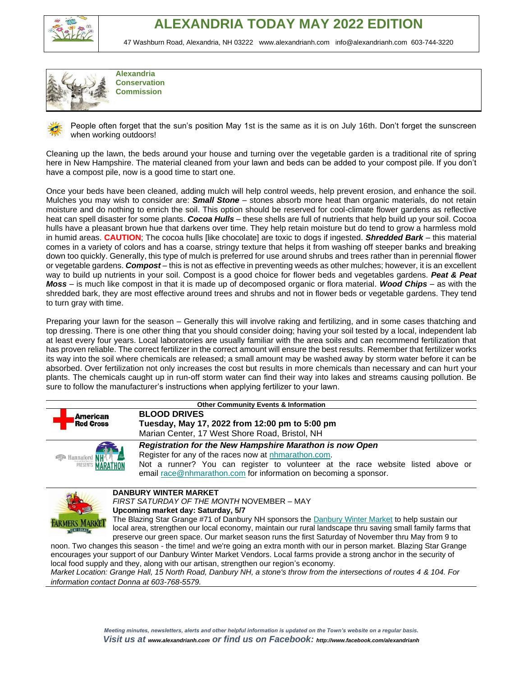



**Alexandria Conservation Commission**

People often forget that the sun's position May 1st is the same as it is on July 16th. Don't forget the sunscreen when working outdoors!

Cleaning up the lawn, the beds around your house and turning over the vegetable garden is a traditional rite of spring here in New Hampshire. The material cleaned from your lawn and beds can be added to your compost pile. If you don't have a compost pile, now is a good time to start one.

Once your beds have been cleaned, adding mulch will help control weeds, help prevent erosion, and enhance the soil. Mulches you may wish to consider are: *Small Stone* – stones absorb more heat than organic materials, do not retain moisture and do nothing to enrich the soil. This option should be reserved for cool-climate flower gardens as reflective heat can spell disaster for some plants. *Cocoa Hulls* – these shells are full of nutrients that help build up your soil. Cocoa hulls have a pleasant brown hue that darkens over time. They help retain moisture but do tend to grow a harmless mold in humid areas. **CAUTION**; The cocoa hulls [like chocolate] are toxic to dogs if ingested. *Shredded Bark* – this material comes in a variety of colors and has a coarse, stringy texture that helps it from washing off steeper banks and breaking down too quickly. Generally, this type of mulch is preferred for use around shrubs and trees rather than in perennial flower or vegetable gardens. *Compost* – this is not as effective in preventing weeds as other mulches; however, it is an excellent way to build up nutrients in your soil. Compost is a good choice for flower beds and vegetables gardens. *Peat & Peat Moss* – is much like compost in that it is made up of decomposed organic or flora material. *Wood Chips* – as with the shredded bark, they are most effective around trees and shrubs and not in flower beds or vegetable gardens. They tend to turn gray with time.

Preparing your lawn for the season – Generally this will involve raking and fertilizing, and in some cases thatching and top dressing. There is one other thing that you should consider doing; having your soil tested by a local, independent lab at least every four years. Local laboratories are usually familiar with the area soils and can recommend fertilization that has proven reliable. The correct fertilizer in the correct amount will ensure the best results. Remember that fertilizer works its way into the soil where chemicals are released; a small amount may be washed away by storm water before it can be absorbed. Over fertilization not only increases the cost but results in more chemicals than necessary and can hurt your plants. The chemicals caught up in run-off storm water can find their way into lakes and streams causing pollution. Be sure to follow the manufacturer's instructions when applying fertilizer to your lawn.

| <b>Other Community Events &amp; Information</b> |                                                                                                                         |  |  |  |
|-------------------------------------------------|-------------------------------------------------------------------------------------------------------------------------|--|--|--|
| American                                        | <b>BLOOD DRIVES</b>                                                                                                     |  |  |  |
| <b>Red Cross</b>                                | Tuesday, May 17, 2022 from 12:00 pm to 5:00 pm                                                                          |  |  |  |
|                                                 | Marian Center, 17 West Shore Road, Bristol, NH                                                                          |  |  |  |
|                                                 | Registration for the New Hampshire Marathon is now Open                                                                 |  |  |  |
| <b>Expl</b> Hannaford NH                        | Register for any of the races now at nhmarathon.com.                                                                    |  |  |  |
| <b>MARATHON</b><br>PRESENTS                     | Not a runner? You can register to volunteer at the race website listed above or                                         |  |  |  |
|                                                 | email race @nhmarathon.com for information on becoming a sponsor.                                                       |  |  |  |
|                                                 |                                                                                                                         |  |  |  |
|                                                 | <b>DANBURY WINTER MARKET</b>                                                                                            |  |  |  |
| FIRST SATURDAY OF THE MONTH NOVEMBER – MAY      |                                                                                                                         |  |  |  |
| Upcoming market day: Saturday, 5/7              |                                                                                                                         |  |  |  |
|                                                 | The Blazing Star Grange #71 of Danbury NH sponsors the Danbury Winter Market to help sustain our                        |  |  |  |
|                                                 | local area, strengthen our local economy, maintain our rural landscape thru saving small family farms that              |  |  |  |
|                                                 | preserve our green space. Our market season runs the first Saturday of November thru May from 9 to                      |  |  |  |
|                                                 | noon. Two changes this season - the time! and we're going an extra month with our in person market. Blazing Star Grange |  |  |  |
|                                                 | encourages your support of our Danbury Winter Market Vendors. Local farms provide a strong anchor in the security of    |  |  |  |
|                                                 | local food supply and they, along with our artisan, strengthen our region's economy.                                    |  |  |  |

*Market Location: Grange Hall, 15 North Road, Danbury NH, a stone's throw from the intersections of routes 4 & 104. For information contact Donna at 603-768-5579.*